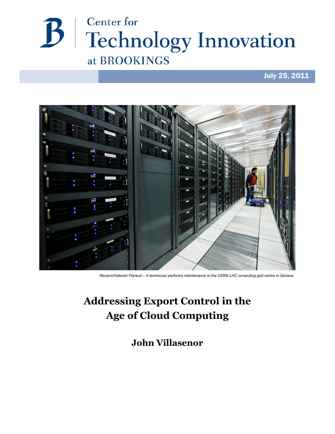

## July 25, 2011



*Reuters/Valentin Flaraud – A technician performs maintenance in the CERN LHC computing grid centre in Geneva*

# **Addressing Export Control in the Age of Cloud Computing**

**John Villasenor**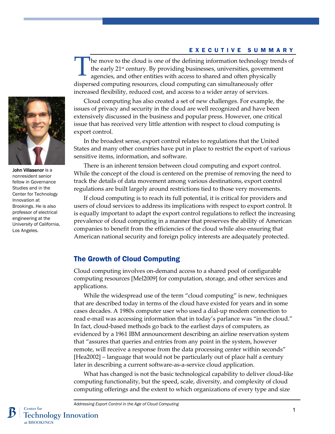#### EXECUTIVE SUMMARY

he move to the cloud is one of the defining information technology trends of the early 21st century. By providing businesses, universities, government agencies, and other entities with access to shared and often physically dispersed computing resources, cloud computing can simultaneously offer increased flexibility, reduced cost, and access to a wider array of services. T



In the broadest sense, export control relates to regulations that the United States and many other countries have put in place to restrict the export of various sensitive items, information, and software.

There is an inherent tension between cloud computing and export control. While the concept of the cloud is centered on the premise of removing the need to track the details of data movement among various destinations, export control regulations are built largely around restrictions tied to those very movements.

If cloud computing is to reach its full potential, it is critical for providers and users of cloud services to address its implications with respect to export control. It is equally important to adapt the export control regulations to reflect the increasing prevalence of cloud computing in a manner that preserves the ability of American companies to benefit from the efficiencies of the cloud while also ensuring that American national security and foreign policy interests are adequately protected.

### The Growth of Cloud Computing

Cloud computing involves on-demand access to a shared pool of configurable computing resources [Mel2009] for computation, storage, and other services and applications.

While the widespread use of the term "cloud computing" is new, techniques that are described today in terms of the cloud have existed for years and in some cases decades. A 1980s computer user who used a dial-up modem connection to read e-mail was accessing information that in today's parlance was "in the cloud." In fact, cloud-based methods go back to the earliest days of computers, as evidenced by a 1961 IBM announcement describing an airline reservation system that "assures that queries and entries from any point in the system, however remote, will receive a response from the data processing center within seconds" [Hea2002] – language that would not be particularly out of place half a century later in describing a current software-as-a-service cloud application.

What has changed is not the basic technological capability to deliver cloud-like computing functionality, but the speed, scale, diversity, and complexity of cloud computing offerings and the extent to which organizations of every type and size



John Villasenor is a nonresident senior fellow in Governance Studies and in the Center for Technology Innovation at Brookings. He is also professor of electrical engineering at the University of California, Los Angeles.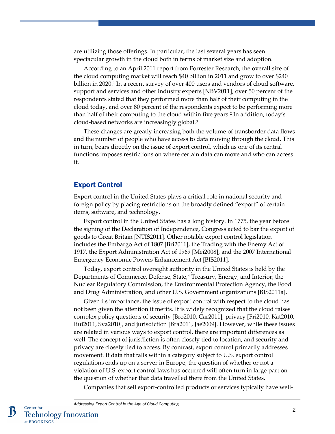are utilizing those offerings. In particular, the last several years has seen spectacular growth in the cloud both in terms of market size and adoption.

According to an April 2011 report from Forrester Research, the overall size of the cloud computing market will reach \$40 billion in 2011 and grow to over \$240 billion in 2020.<sup>[1](#page-12-0)</sup> In a recent survey of over 400 users and vendors of cloud software, support and services and other industry experts [NBV2011], over 50 percent of the respondents stated that they performed more than half of their computing in the cloud today, and over 80 percent of the respondents expect to be performing more than half of their computing to the cloud within five years.[2](#page-12-1) In addition, today's cloud-based networks are increasingly global.[3](#page-12-2)

These changes are greatly increasing both the volume of transborder data flows and the number of people who have access to data moving through the cloud. This in turn, bears directly on the issue of export control, which as one of its central functions imposes restrictions on where certain data can move and who can access it.

#### Export Control

Export control in the United States plays a critical role in national security and foreign policy by placing restrictions on the broadly defined "export" of certain items, software, and technology.

Export control in the United States has a long history. In 1775, the year before the signing of the Declaration of Independence, Congress acted to bar the export of goods to Great Britain [NTIS2011]. Other notable export control legislation includes the Embargo Act of 1807 [Bri2011], the Trading with the Enemy Act of 1917, the Export Administration Act of 1969 [Mei2008], and the 2007 International Emergency Economic Powers Enhancement Act [BIS2011].

Today, export control oversight authority in the United States is held by the Departments of Commerce, Defense, State,<sup>[4](#page-12-3)</sup> Treasury, Energy, and Interior; the Nuclear Regulatory Commission, the Environmental Protection Agency, the Food and Drug Administration, and other U.S. Government organizations [BIS2011a].

Given its importance, the issue of export control with respect to the cloud has not been given the attention it merits. It is widely recognized that the cloud raises complex policy questions of security [Bro2010, Car2011], privacy [Fri2010, Kat2010, Rui2011, Sva2010], and jurisdiction [Bra2011, Jae2009]. However, while these issues are related in various ways to export control, there are important differences as well. The concept of jurisdiction is often closely tied to location, and security and privacy are closely tied to access. By contrast, export control primarily addresses movement. If data that falls within a category subject to U.S. export control regulations ends up on a server in Europe, the question of whether or not a violation of U.S. export control laws has occurred will often turn in large part on the question of whether that data travelled there from the United States.

Companies that sell export-controlled products or services typically have well-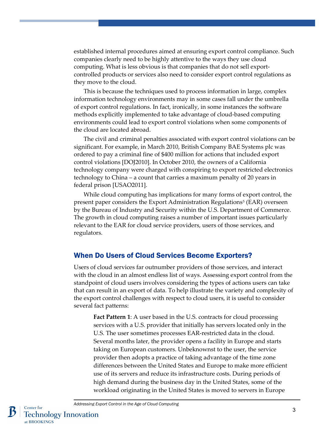established internal procedures aimed at ensuring export control compliance. Such companies clearly need to be highly attentive to the ways they use cloud computing. What is less obvious is that companies that do not sell exportcontrolled products or services also need to consider export control regulations as they move to the cloud.

This is because the techniques used to process information in large, complex information technology environments may in some cases fall under the umbrella of export control regulations. In fact, ironically, in some instances the software methods explicitly implemented to take advantage of cloud-based computing environments could lead to export control violations when some components of the cloud are located abroad.

The civil and criminal penalties associated with export control violations can be significant. For example, in March 2010, British Company BAE Systems plc was ordered to pay a criminal fine of \$400 million for actions that included export control violations [DOJ2010]. In October 2010, the owners of a California technology company were charged with conspiring to export restricted electronics technology to China – a count that carries a maximum penalty of 20 years in federal prison [USAO2011].

While cloud computing has implications for many forms of export control, the present paper considers the Export Administration Regulations[5](#page-12-4) (EAR) overseen by the Bureau of Industry and Security within the U.S. Department of Commerce. The growth in cloud computing raises a number of important issues particularly relevant to the EAR for cloud service providers, users of those services, and regulators.

#### When Do Users of Cloud Services Become Exporters?

Users of cloud services far outnumber providers of those services, and interact with the cloud in an almost endless list of ways. Assessing export control from the standpoint of cloud users involves considering the types of actions users can take that can result in an export of data. To help illustrate the variety and complexity of the export control challenges with respect to cloud users, it is useful to consider several fact patterns:

**Fact Pattern 1**: A user based in the U.S. contracts for cloud processing services with a U.S. provider that initially has servers located only in the U.S. The user sometimes processes EAR-restricted data in the cloud. Several months later, the provider opens a facility in Europe and starts taking on European customers. Unbeknownst to the user, the service provider then adopts a practice of taking advantage of the time zone differences between the United States and Europe to make more efficient use of its servers and reduce its infrastructure costs. During periods of high demand during the business day in the United States, some of the workload originating in the United States is moved to servers in Europe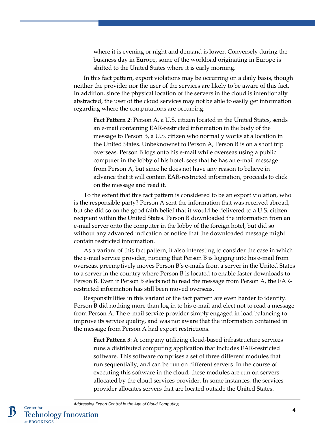where it is evening or night and demand is lower. Conversely during the business day in Europe, some of the workload originating in Europe is shifted to the United States where it is early morning.

In this fact pattern, export violations may be occurring on a daily basis, though neither the provider nor the user of the services are likely to be aware of this fact. In addition, since the physical location of the servers in the cloud is intentionally abstracted, the user of the cloud services may not be able to easily get information regarding where the computations are occurring.

**Fact Pattern 2**: Person A, a U.S. citizen located in the United States, sends an e-mail containing EAR-restricted information in the body of the message to Person B, a U.S. citizen who normally works at a location in the United States. Unbeknownst to Person A, Person B is on a short trip overseas. Person B logs onto his e-mail while overseas using a public computer in the lobby of his hotel, sees that he has an e-mail message from Person A, but since he does not have any reason to believe in advance that it will contain EAR-restricted information, proceeds to click on the message and read it.

To the extent that this fact pattern is considered to be an export violation, who is the responsible party? Person A sent the information that was received abroad, but she did so on the good faith belief that it would be delivered to a U.S. citizen recipient within the United States. Person B downloaded the information from an e-mail server onto the computer in the lobby of the foreign hotel, but did so without any advanced indication or notice that the downloaded message might contain restricted information.

As a variant of this fact pattern, it also interesting to consider the case in which the e-mail service provider, noticing that Person B is logging into his e-mail from overseas, preemptively moves Person B's e-mails from a server in the United States to a server in the country where Person B is located to enable faster downloads to Person B. Even if Person B elects not to read the message from Person A, the EARrestricted information has still been moved overseas.

Responsibilities in this variant of the fact pattern are even harder to identify. Person B did nothing more than log in to his e-mail and elect not to read a message from Person A. The e-mail service provider simply engaged in load balancing to improve its service quality, and was not aware that the information contained in the message from Person A had export restrictions.

**Fact Pattern 3**: A company utilizing cloud-based infrastructure services runs a distributed computing application that includes EAR-restricted software. This software comprises a set of three different modules that run sequentially, and can be run on different servers. In the course of executing this software in the cloud, these modules are run on servers allocated by the cloud services provider. In some instances, the services provider allocates servers that are located outside the United States.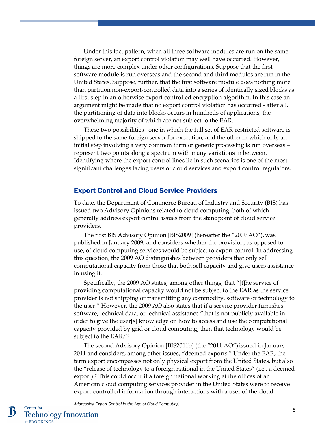Under this fact pattern, when all three software modules are run on the same foreign server, an export control violation may well have occurred. However, things are more complex under other configurations. Suppose that the first software module is run overseas and the second and third modules are run in the United States. Suppose, further, that the first software module does nothing more than partition non-export-controlled data into a series of identically sized blocks as a first step in an otherwise export controlled encryption algorithm. In this case an argument might be made that no export control violation has occurred - after all, the partitioning of data into blocks occurs in hundreds of applications, the overwhelming majority of which are not subject to the EAR.

These two possibilities– one in which the full set of EAR-restricted software is shipped to the same foreign server for execution, and the other in which only an initial step involving a very common form of generic processing is run overseas – represent two points along a spectrum with many variations in between. Identifying where the export control lines lie in such scenarios is one of the most significant challenges facing users of cloud services and export control regulators.

#### Export Control and Cloud Service Providers

To date, the Department of Commerce Bureau of Industry and Security (BIS) has issued two Advisory Opinions related to cloud computing, both of which generally address export control issues from the standpoint of cloud service providers.

The first BIS Advisory Opinion [BIS2009] (hereafter the "2009 AO"), was published in January 2009, and considers whether the provision, as opposed to use, of cloud computing services would be subject to export control. In addressing this question, the 2009 AO distinguishes between providers that only sell computational capacity from those that both sell capacity and give users assistance in using it.

Specifically, the 2009 AO states, among other things, that "[t]he service of providing computational capacity would not be subject to the EAR as the service provider is not shipping or transmitting any commodity, software or technology to the user." However, the 2009 AO also states that if a service provider furnishes software, technical data, or technical assistance "that is not publicly available in order to give the user[s] knowledge on how to access and use the computational capacity provided by grid or cloud computing, then that technology would be subject to the EAR."[6](#page-13-0)

The second Advisory Opinion [BIS2011b] (the "2011 AO")issued in January 2011 and considers, among other issues, "deemed exports." Under the EAR, the term export encompasses not only physical export from the United States, but also the "release of technology to a foreign national in the United States" (i.e., a deemed export).<sup>7</sup> This could occur if a foreign national working at the offices of an American cloud computing services provider in the United States were to receive export-controlled information through interactions with a user of the cloud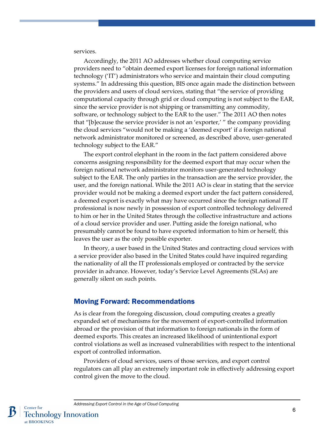services.

Accordingly, the 2011 AO addresses whether cloud computing service providers need to "obtain deemed export licenses for foreign national information technology ('IT') administrators who service and maintain their cloud computing systems." In addressing this question, BIS once again made the distinction between the providers and users of cloud services, stating that "the service of providing computational capacity through grid or cloud computing is not subject to the EAR, since the service provider is not shipping or transmitting any commodity, software, or technology subject to the EAR to the user." The 2011 AO then notes that "[b]ecause the service provider is not an 'exporter,' " the company providing the cloud services "would not be making a 'deemed export' if a foreign national network administrator monitored or screened, as described above, user-generated technology subject to the EAR."

The export control elephant in the room in the fact pattern considered above concerns assigning responsibility for the deemed export that may occur when the foreign national network administrator monitors user-generated technology subject to the EAR. The only parties in the transaction are the service provider, the user, and the foreign national. While the 2011 AO is clear in stating that the service provider would not be making a deemed export under the fact pattern considered, a deemed export is exactly what may have occurred since the foreign national IT professional is now newly in possession of export controlled technology delivered to him or her in the United States through the collective infrastructure and actions of a cloud service provider and user. Putting aside the foreign national, who presumably cannot be found to have exported information to him or herself, this leaves the user as the only possible exporter.

In theory, a user based in the United States and contracting cloud services with a service provider also based in the United States could have inquired regarding the nationality of all the IT professionals employed or contracted by the service provider in advance. However, today's Service Level Agreements (SLAs) are generally silent on such points.

#### Moving Forward: Recommendations

As is clear from the foregoing discussion, cloud computing creates a greatly expanded set of mechanisms for the movement of export-controlled information abroad or the provision of that information to foreign nationals in the form of deemed exports. This creates an increased likelihood of unintentional export control violations as well as increased vulnerabilities with respect to the intentional export of controlled information.

Providers of cloud services, users of those services, and export control regulators can all play an extremely important role in effectively addressing export control given the move to the cloud.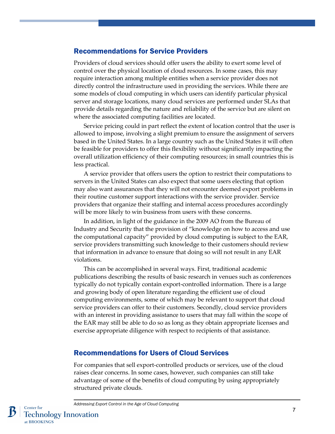#### Recommendations for Service Providers

Providers of cloud services should offer users the ability to exert some level of control over the physical location of cloud resources. In some cases, this may require interaction among multiple entities when a service provider does not directly control the infrastructure used in providing the services. While there are some models of cloud computing in which users can identify particular physical server and storage locations, many cloud services are performed under SLAs that provide details regarding the nature and reliability of the service but are silent on where the associated computing facilities are located.

Service pricing could in part reflect the extent of location control that the user is allowed to impose, involving a slight premium to ensure the assignment of servers based in the United States. In a large country such as the United States it will often be feasible for providers to offer this flexibility without significantly impacting the overall utilization efficiency of their computing resources; in small countries this is less practical.

A service provider that offers users the option to restrict their computations to servers in the United States can also expect that some users electing that option may also want assurances that they will not encounter deemed export problems in their routine customer support interactions with the service provider. Service providers that organize their staffing and internal access procedures accordingly will be more likely to win business from users with these concerns.

In addition, in light of the guidance in the 2009 AO from the Bureau of Industry and Security that the provision of "knowledge on how to access and use the computational capacity" provided by cloud computing is subject to the EAR, service providers transmitting such knowledge to their customers should review that information in advance to ensure that doing so will not result in any EAR violations.

This can be accomplished in several ways. First, traditional academic publications describing the results of basic research in venues such as conferences typically do not typically contain export-controlled information. There is a large and growing body of open literature regarding the efficient use of cloud computing environments, some of which may be relevant to support that cloud service providers can offer to their customers. Secondly, cloud service providers with an interest in providing assistance to users that may fall within the scope of the EAR may still be able to do so as long as they obtain appropriate licenses and exercise appropriate diligence with respect to recipients of that assistance.

#### Recommendations for Users of Cloud Services

For companies that sell export-controlled products or services, use of the cloud raises clear concerns. In some cases, however, such companies can still take advantage of some of the benefits of cloud computing by using appropriately structured private clouds.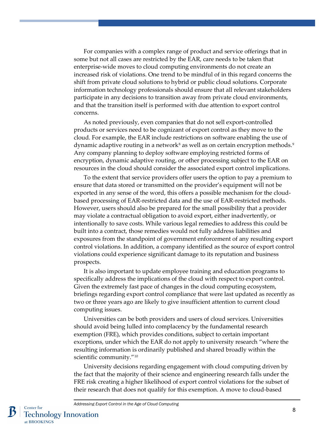For companies with a complex range of product and service offerings that in some but not all cases are restricted by the EAR, care needs to be taken that enterprise-wide moves to cloud computing environments do not create an increased risk of violations. One trend to be mindful of in this regard concerns the shift from private cloud solutions to hybrid or public cloud solutions. Corporate information technology professionals should ensure that all relevant stakeholders participate in any decisions to transition away from private cloud environments, and that the transition itself is performed with due attention to export control concerns.

As noted previously, even companies that do not sell export-controlled products or services need to be cognizant of export control as they move to the cloud. For example, the EAR include restrictions on software enabling the use of dynamic adaptive routing in a network<sup>[8](#page-13-2)</sup> as well as on certain encryption methods.<sup>9</sup> Any company planning to deploy software employing restricted forms of encryption, dynamic adaptive routing, or other processing subject to the EAR on resources in the cloud should consider the associated export control implications.

To the extent that service providers offer users the option to pay a premium to ensure that data stored or transmitted on the provider's equipment will not be exported in any sense of the word, this offers a possible mechanism for the cloudbased processing of EAR-restricted data and the use of EAR-restricted methods. However, users should also be prepared for the small possibility that a provider may violate a contractual obligation to avoid export, either inadvertently, or intentionally to save costs. While various legal remedies to address this could be built into a contract, those remedies would not fully address liabilities and exposures from the standpoint of government enforcement of any resulting export control violations. In addition, a company identified as the source of export control violations could experience significant damage to its reputation and business prospects.

It is also important to update employee training and education programs to specifically address the implications of the cloud with respect to export control. Given the extremely fast pace of changes in the cloud computing ecosystem, briefings regarding export control compliance that were last updated as recently as two or three years ago are likely to give insufficient attention to current cloud computing issues.

Universities can be both providers and users of cloud services. Universities should avoid being lulled into complacency by the fundamental research exemption (FRE), which provides conditions, subject to certain important exceptions, under which the EAR do not apply to university research "where the resulting information is ordinarily published and shared broadly within the scientific community."<sup>[10](#page-13-4)</sup>

University decisions regarding engagement with cloud computing driven by the fact that the majority of their science and engineering research falls under the FRE risk creating a higher likelihood of export control violations for the subset of their research that does not qualify for this exemption. A move to cloud-based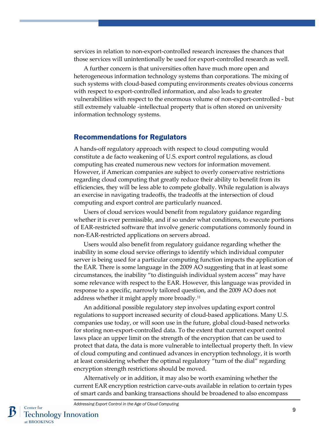services in relation to non-export-controlled research increases the chances that those services will unintentionally be used for export-controlled research as well.

A further concern is that universities often have much more open and heterogeneous information technology systems than corporations. The mixing of such systems with cloud-based computing environments creates obvious concerns with respect to export-controlled information, and also leads to greater vulnerabilities with respect to the enormous volume of non-export-controlled - but still extremely valuable -intellectual property that is often stored on university information technology systems.

#### Recommendations for Regulators

A hands-off regulatory approach with respect to cloud computing would constitute a de facto weakening of U.S. export control regulations, as cloud computing has created numerous new vectors for information movement. However, if American companies are subject to overly conservative restrictions regarding cloud computing that greatly reduce their ability to benefit from its efficiencies, they will be less able to compete globally. While regulation is always an exercise in navigating tradeoffs, the tradeoffs at the intersection of cloud computing and export control are particularly nuanced.

Users of cloud services would benefit from regulatory guidance regarding whether it is ever permissible, and if so under what conditions, to execute portions of EAR-restricted software that involve generic computations commonly found in non-EAR-restricted applications on servers abroad.

Users would also benefit from regulatory guidance regarding whether the inability in some cloud service offerings to identify which individual computer server is being used for a particular computing function impacts the application of the EAR. There is some language in the 2009 AO suggesting that in at least some circumstances, the inability "to distinguish individual system access" may have some relevance with respect to the EAR. However, this language was provided in response to a specific, narrowly tailored question, and the 2009 AO does not address whether it might apply more broadly.[11](#page-13-5)

An additional possible regulatory step involves updating export control regulations to support increased security of cloud-based applications. Many U.S. companies use today, or will soon use in the future, global cloud-based networks for storing non-export-controlled data. To the extent that current export control laws place an upper limit on the strength of the encryption that can be used to protect that data, the data is more vulnerable to intellectual property theft. In view of cloud computing and continued advances in encryption technology, it is worth at least considering whether the optimal regulatory "turn of the dial" regarding encryption strength restrictions should be moved.

Alternatively or in addition, it may also be worth examining whether the current EAR encryption restriction carve-outs available in relation to certain types of smart cards and banking transactions should be broadened to also encompass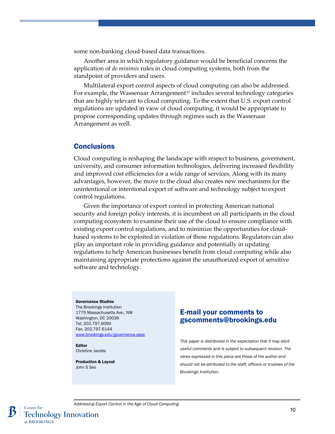some non-banking cloud-based data transactions.

Another area in which regulatory guidance would be beneficial concerns the application of *de minimis* rules in cloud computing systems, both from the standpoint of providers and users.

Multilateral export control aspects of cloud computing can also be addressed. For example, the Wassenaar Arrangement<sup>[12](#page-13-6)</sup> includes several technology categories that are highly relevant to cloud computing. To the extent that U.S. export control regulations are updated in view of cloud computing, it would be appropriate to propose corresponding updates through regimes such as the Wassenaar Arrangement as well.

#### **Conclusions**

Cloud computing is reshaping the landscape with respect to business, government, university, and consumer information technologies, delivering increased flexibility and improved cost efficiencies for a wide range of services. Along with its many advantages, however, the move to the cloud also creates new mechanisms for the unintentional or intentional export of software and technology subject to export control regulations.

Given the importance of export control in protecting American national security and foreign policy interests, it is incumbent on all participants in the cloud computing ecosystem to examine their use of the cloud to ensure compliance with existing export control regulations, and to minimize the opportunities for cloudbased systems to be exploited in violation of those regulations. Regulators can also play an important role in providing guidance and potentially in updating regulations to help American businesses benefit from cloud computing while also maintaining appropriate protections against the unauthorized export of sensitive software and technology.

#### Governance Studies

The Brookings Institution 1775 Massachusetts Ave., NW Washington, DC 20036 Tel: 202.797.6090 Fax: 202.797.6144 [www.brookings.edu/governance.aspx](http://www.brookings.edu/governance.aspx)

Editor Christine Jacobs

Production & Layout John S Seo

#### E-mail your comments to gscomments@brookings.edu

*This paper is distributed in the expectation that it may elicit useful comments and is subject to subsequent revision. The views expressed in this piece are those of the author and should not be attributed to the staff, officers or trustees of the Brookings Institution.*

Center for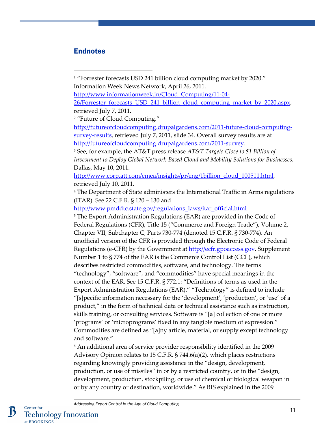### Endnotes

 $\overline{a}$ 

<sup>1</sup> "Forrester forecasts USD 241 billion cloud computing market by 2020." Information Week News Network, April 26, 2011.

26/Forrester forecasts USD 241 billion cloud computing market by 2020.aspx, retrieved July 7, 2011.

<sup>2</sup> "Future of Cloud Computing."

[http://futureofcloudcomputing.drupalgardens.com/2011-future-cloud-computing](http://futureofcloudcomputing.drupalgardens.com/2011-future-cloud-computing-survey-results)[survey-results,](http://futureofcloudcomputing.drupalgardens.com/2011-future-cloud-computing-survey-results) retrieved July 7, 2011, slide 34. Overall survey results are at [http://futureofcloudcomputing.drupalgardens.com/2011-survey.](http://futureofcloudcomputing.drupalgardens.com/2011-survey)

<sup>3</sup> See, for example, the AT&T press release *AT&T Targets Close to \$1 Billion of Investment to Deploy Global Network-Based Cloud and Mobility Solutions for Businesses.* Dallas, May 10, 2011.

[http://www.corp.att.com/emea/insights/pr/eng/1billion\\_cloud\\_100511.html,](http://www.corp.att.com/emea/insights/pr/eng/1billion_cloud_100511.html) retrieved July 10, 2011.

<sup>4</sup> The Department of State administers the International Traffic in Arms regulations (ITAR). See 22 C.F.R. § 120 – 130 and

[http://www.pmddtc.state.gov/regulations\\_laws/itar\\_official.html](http://www.pmddtc.state.gov/regulations_laws/itar_official.html) .

<sup>5</sup> The Export Administration Regulations (EAR) are provided in the Code of Federal Regulations (CFR), Title 15 ("Commerce and Foreign Trade"), Volume 2, Chapter VII, Subchapter C, Parts 730-774 (denoted 15 C.F.R. § 730-774). An unofficial version of the CFR is provided through the Electronic Code of Federal Regulations (e-CFR) by the Government at [http://ecfr.gpoaccess.gov.](http://ecfr.gpoaccess.gov/) Supplement Number 1 to § 774 of the EAR is the Commerce Control List (CCL), which describes restricted commodities, software, and technology. The terms "technology", "software", and "commodities" have special meanings in the context of the EAR. See 15 C.F.R. § 772.1: "Definitions of terms as used in the Export Administration Regulations (EAR)." "Technology" is defined to include "[s]pecific information necessary for the 'development', 'production', or 'use' of a product," in the form of technical data or technical assistance such as instruction, skills training, or consulting services. Software is "[a] collection of one or more 'programs' or 'microprograms' fixed in any tangible medium of expression." Commodities are defined as "[a]ny article, material, or supply except technology and software."

<sup>6</sup> An additional area of service provider responsibility identified in the 2009 Advisory Opinion relates to 15 C.F.R. § 744.6(a)(2), which places restrictions regarding knowingly providing assistance in the "design, development, production, or use of missiles" in or by a restricted country, or in the "design, development, production, stockpiling, or use of chemical or biological weapon in or by any country or destination, worldwide." As BIS explained in the 2009

[http://www.informationweek.in/Cloud\\_Computing/11-04-](http://www.informationweek.in/Cloud_Computing/11-04-26/Forrester_forecasts_USD_241_billion_cloud_computing_market_by_2020.aspx)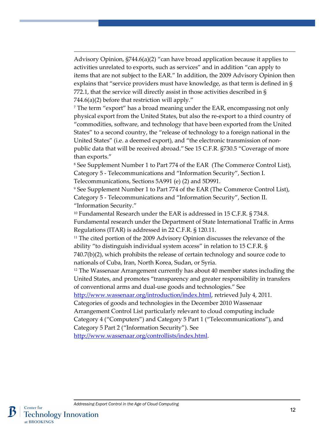Advisory Opinion,  $\S744.6(a)(2)$  "can have broad application because it applies to activities unrelated to exports, such as services" and in addition "can apply to items that are not subject to the EAR." In addition, the 2009 Advisory Opinion then explains that "service providers must have knowledge, as that term is defined in § 772.1, that the service will directly assist in those activities described in § 744.6(a)(2) before that restriction will apply."

<span id="page-12-0"></span> $\overline{a}$ 

<span id="page-12-1"></span><sup>7</sup> The term "export" has a broad meaning under the EAR, encompassing not only physical export from the United States, but also the re-export to a third country of "commodities, software, and technology that have been exported from the United States" to a second country, the "release of technology to a foreign national in the United States" (i.e. a deemed export), and "the electronic transmission of nonpublic data that will be received abroad." See 15 C.F.R. §730.5 "Coverage of more than exports."

<span id="page-12-2"></span><sup>8</sup> See Supplement Number 1 to Part 774 of the EAR (The Commerce Control List), Category 5 - Telecommunications and "Information Security", Section I. Telecommunications, Sections 5A991 (e) (2) and 5D991.

<span id="page-12-3"></span><sup>9</sup> See Supplement Number 1 to Part 774 of the EAR (The Commerce Control List), Category 5 - Telecommunications and "Information Security", Section II. "Information Security."

<span id="page-12-4"></span><sup>10</sup> Fundamental Research under the EAR is addressed in 15 C.F.R. § 734.8. Fundamental research under the Department of State International Traffic in Arms Regulations (ITAR) is addressed in 22 C.F.R. § 120.11.

<sup>11</sup> The cited portion of the 2009 Advisory Opinion discusses the relevance of the ability "to distinguish individual system access" in relation to 15 C.F.R. § 740.7(b)(2), which prohibits the release of certain technology and source code to nationals of Cuba, Iran, North Korea, Sudan, or Syria.

<sup>12</sup> The Wassenaar Arrangement currently has about 40 member states including the United States, and promotes "transparency and greater responsibility in transfers of conventional arms and dual-use goods and technologies." See

[http://www.wassenaar.org/introduction/index.html,](http://www.wassenaar.org/introduction/index.html) retrieved July 4, 2011. Categories of goods and technologies in the December 2010 Wassenaar

Arrangement Control List particularly relevant to cloud computing include Category 4 ("Computers") and Category 5 Part 1 ("Telecommunications"), and Category 5 Part 2 ("Information Security"). See

[http://www.wassenaar.org/controllists/index.html.](http://www.wassenaar.org/controllists/index.html)

Center for

at BROOKINGS

**Technology Innovation** 

12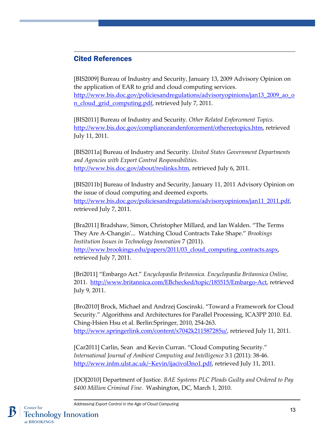#### <span id="page-13-0"></span> $\overline{a}$ Cited References

<span id="page-13-1"></span>[BIS2009] Bureau of Industry and Security, January 13, 2009 Advisory Opinion on the application of EAR to grid and cloud computing services. [http://www.bis.doc.gov/policiesandregulations/advisoryopinions/jan13\\_2009\\_ao\\_o](http://www.bis.doc.gov/policiesandregulations/advisoryopinions/jan13_2009_ao_on_cloud_grid_computing.pdf) [n\\_cloud\\_grid\\_computing.pdf,](http://www.bis.doc.gov/policiesandregulations/advisoryopinions/jan13_2009_ao_on_cloud_grid_computing.pdf) retrieved July 7, 2011.

<span id="page-13-2"></span>[BIS2011] Bureau of Industry and Security. *Other Related Enforcement Topics.* [http://www.bis.doc.gov/complianceandenforcement/othereetopics.htm,](http://www.bis.doc.gov/complianceandenforcement/othereetopics.htm) retrieved July 11, 2011.

<span id="page-13-3"></span>[BIS2011a] Bureau of Industry and Security. *United States Government Departments and Agencies with Export Control Responsibilities.* [http://www.bis.doc.gov/about/reslinks.htm,](http://www.bis.doc.gov/about/reslinks.htm) retrieved July 6, 2011.

<span id="page-13-5"></span><span id="page-13-4"></span>[BIS2011b] Bureau of Industry and Security, January 11, 2011 Advisory Opinion on the issue of cloud computing and deemed exports. [http://www.bis.doc.gov/policiesandregulations/advisoryopinions/jan11\\_2011.pdf,](http://www.bis.doc.gov/policiesandregulations/advisoryopinions/jan11_2011.pdf) retrieved July 7, 2011.

<span id="page-13-6"></span>[Bra2011] Bradshaw, Simon, Christopher Millard, and Ian Walden. "The Terms They Are A-Changin'... Watching Cloud Contracts Take Shape." *Brookings Institution Issues in Technology Innovation* 7 (2011). [http://www.brookings.edu/papers/2011/03\\_cloud\\_computing\\_contracts.aspx,](http://www.brookings.edu/papers/2011/03_cloud_computing_contracts.aspx) retrieved July 7, 2011.

[Bri2011] "Embargo Act." *Encyclopædia Britannica. Encyclopædia Britannica Online,*  2011. [http://www.britannica.com/EBchecked/topic/185515/Embargo-Act,](http://www.britannica.com/EBchecked/topic/185515/Embargo-Act) retrieved July 9, 2011.

[Bro2010] Brock, Michael and Andrzej Goscinski. "Toward a Framework for Cloud Security." Algorithms and Architectures for Parallel Processing, ICA3PP 2010. Ed. Ching-Hsien Hsu et al. Berlin:Springer, 2010, 254-263. [http://www.springerlink.com/content/x7042k211587285u/,](http://www.springerlink.com/content/x7042k211587285u/) retrieved July 11, 2011.

[Car2011] Carlin, Sean and Kevin Curran. "Cloud Computing Security." *International Journal of Ambient Computing and Intelligence* 3:1 (2011): 38-46. [http://www.infm.ulst.ac.uk/~Kevin/ijacivol3no1.pdf,](http://www.infm.ulst.ac.uk/~Kevin/ijacivol3no1.pdf) retrieved July 11, 2011.

[DOJ2010] Department of Justice. *BAE Systems PLC Pleads Guilty and Ordered to Pay \$400 Million Criminal Fine.* Washington, DC, March 1, 2010.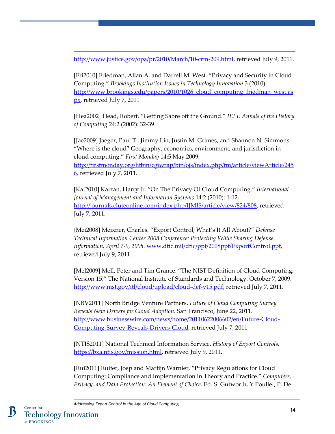[http://www.justice.gov/opa/pr/2010/March/10-crm-209.html,](http://www.justice.gov/opa/pr/2010/March/10-crm-209.html) retrieved July 9, 2011.

[Fri2010] Friedman, Allan A. and Darrell M. West. "Privacy and Security in Cloud Computing." *Brookings Institution Issues in Technology Innovation* 3 (2010). http://www.brookings.edu/papers/2010/1026 cloud computing friedman west.as [px,](http://www.brookings.edu/papers/2010/1026_cloud_computing_friedman_west.aspx) retrieved July 7, 2011

[Hea2002] Head, Robert. "Getting Sabre off the Ground." *IEEE Annals of the History of Computing* 24:2 (2002): 32-39.

[Jae2009] Jaeger, Paul T., Jimmy Lin, Justin M. Grimes, and Shannon N. Simmons. "Where is the cloud? Geography, economics, environment, and jurisdiction in cloud computing." *First Monday* 14:5 May 2009. [http://firstmonday.org/htbin/cgiwrap/bin/ojs/index.php/fm/article/viewArticle/245](http://firstmonday.org/htbin/cgiwrap/bin/ojs/index.php/fm/article/viewArticle/2456) [6,](http://firstmonday.org/htbin/cgiwrap/bin/ojs/index.php/fm/article/viewArticle/2456) retrieved July 7, 2011.

[Kat2010] Katzan, Harry Jr. "On The Privacy Of Cloud Computing." *International Journal of Management and Information Systems* 14:2 (2010): 1-12. [http://journals.cluteonline.com/index.php/IJMIS/article/view/824/808,](http://journals.cluteonline.com/index.php/IJMIS/article/view/824/808) retrieved July 7, 2011.

{Mei2008] Meixner, Charles. "Export Control; What's It All About?" *Defense Technical Information Center 2008 Conference: Protecting While Sharing Defense Information, April 7-9, 2008.* [www.dtic.mil/dtic/ppt/2008ppt/ExportControl.ppt,](http://www.dtic.mil/dtic/ppt/2008ppt/ExportControl.ppt) retrieved July 9, 2011.

[Mel2009] Mell, Peter and Tim Grance. "The NIST Definition of Cloud Computing, Version 15." The National Institute of Standards and Technology. October 7, 2009. [http://www.nist.gov/itl/cloud/upload/cloud-def-v15.pdf,](http://www.nist.gov/itl/cloud/upload/cloud-def-v15.pdf) retrieved July 7, 2011.

[NBV2011] North Bridge Venture Partners. *Future of Cloud Computing Survey Reveals New Drivers for Cloud Adoption.* San Francisco, June 22, 2011. [http://www.businesswire.com/news/home/20110622006602/en/Future-Cloud-](http://www.businesswire.com/news/home/20110622006602/en/Future-Cloud-Computing-Survey-Reveals-Drivers-Cloud)[Computing-Survey-Reveals-Drivers-Cloud,](http://www.businesswire.com/news/home/20110622006602/en/Future-Cloud-Computing-Survey-Reveals-Drivers-Cloud) retrieved July 7, 2011

[NTIS2011] National Technical Information Service. *History of Export Controls*. [https://bxa.ntis.gov/mission.html,](https://bxa.ntis.gov/mission.html) retrieved July 9, 2011.

[Rui2011] Ruiter, Joep and Martijn Warnier, "Privacy Regulations for Cloud Computing: Compliance and Implementation in Theory and Practice." *Computers, Privacy, and Data Protection: An Element of Choice*. Ed. S. Gutworth, Y Poullet, P. De

 $\overline{a}$